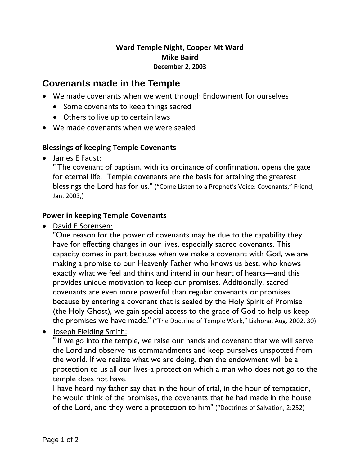## **Ward Temple Night, Cooper Mt Ward Mike Baird December 2, 2003**

# **Covenants made in the Temple**

- We made covenants when we went through Endowment for ourselves
	- Some covenants to keep things sacred
	- Others to live up to certain laws
- We made covenants when we were sealed

## **Blessings of keeping Temple Covenants**

James E Faust:

" The covenant of baptism, with its ordinance of confirmation, opens the gate for eternal life. Temple covenants are the basis for attaining the greatest blessings the Lord has for us." ("Come Listen to a Prophet's Voice: Covenants," Friend, Jan. 2003,)

## **Power in keeping Temple Covenants**

David E Sorensen:

"One reason for the power of covenants may be due to the capability they have for effecting changes in our lives, especially sacred covenants. This capacity comes in part because when we make a covenant with God, we are making a promise to our Heavenly Father who knows us best, who knows exactly what we feel and think and intend in our heart of hearts—and this provides unique motivation to keep our promises. Additionally, sacred covenants are even more powerful than regular covenants or promises because by entering a covenant that is sealed by the Holy Spirit of Promise (the Holy Ghost), we gain special access to the grace of God to help us keep the promises we have made." ("The Doctrine of Temple Work," Liahona, Aug. 2002, 30)

Joseph Fielding Smith:

" If we go into the temple, we raise our hands and covenant that we will serve the Lord and observe his commandments and keep ourselves unspotted from the world. If we realize what we are doing, then the endowment will be a protection to us all our lives-a protection which a man who does not go to the temple does not have.

I have heard my father say that in the hour of trial, in the hour of temptation, he would think of the promises, the covenants that he had made in the house of the Lord, and they were a protection to him" ("Doctrines of Salvation, 2:252)